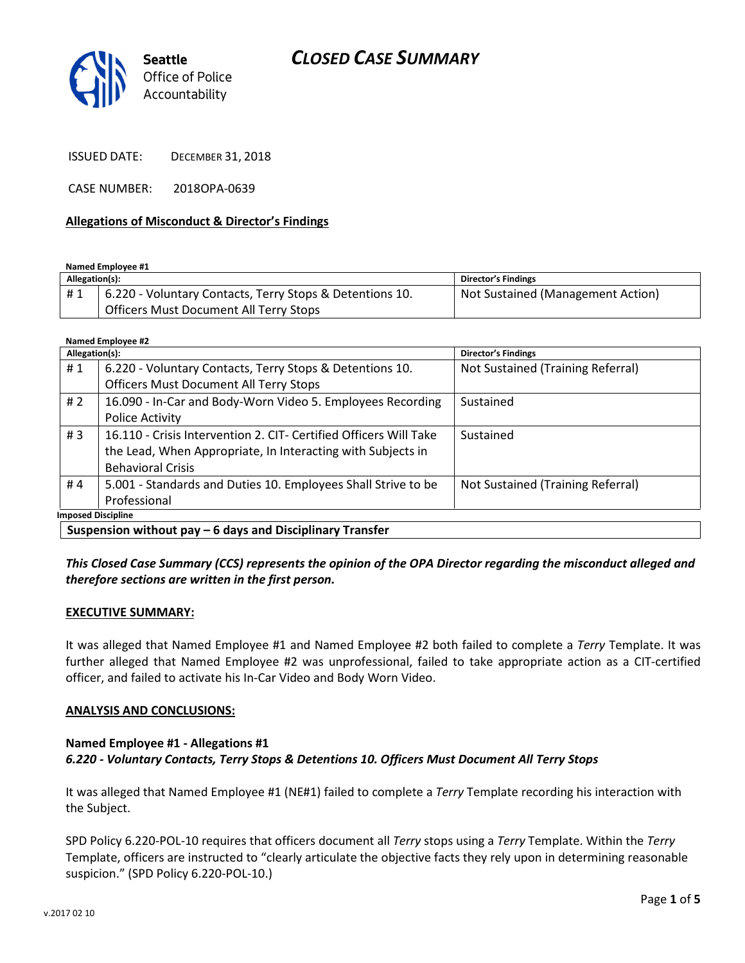# CLOSED CASE SUMMARY



ISSUED DATE: DECEMBER 31, 2018

CASE NUMBER: 2018OPA-0639

#### Allegations of Misconduct & Director's Findings

Named Employee #1

| Allegation(s): |                                                          | <b>Director's Findings</b>        |
|----------------|----------------------------------------------------------|-----------------------------------|
| #1             | 6.220 - Voluntary Contacts, Terry Stops & Detentions 10. | Not Sustained (Management Action) |
|                | Officers Must Document All Terry Stops                   |                                   |

Named Employee #2

| Allegation(s): |                                                                   | <b>Director's Findings</b>        |
|----------------|-------------------------------------------------------------------|-----------------------------------|
| #1             | 6.220 - Voluntary Contacts, Terry Stops & Detentions 10.          | Not Sustained (Training Referral) |
|                | <b>Officers Must Document All Terry Stops</b>                     |                                   |
| # $2$          | 16.090 - In-Car and Body-Worn Video 5. Employees Recording        | Sustained                         |
|                | Police Activity                                                   |                                   |
| #3             | 16.110 - Crisis Intervention 2. CIT- Certified Officers Will Take | Sustained                         |
|                | the Lead, When Appropriate, In Interacting with Subjects in       |                                   |
|                | <b>Behavioral Crisis</b>                                          |                                   |
| #4             | 5.001 - Standards and Duties 10. Employees Shall Strive to be     | Not Sustained (Training Referral) |
|                | Professional                                                      |                                   |
|                | <b>Imposed Discipline</b>                                         |                                   |

This Closed Case Summary (CCS) represents the opinion of the OPA Director regarding the misconduct alleged and therefore sections are written in the first person.

#### EXECUTIVE SUMMARY:

It was alleged that Named Employee #1 and Named Employee #2 both failed to complete a Terry Template. It was further alleged that Named Employee #2 was unprofessional, failed to take appropriate action as a CIT-certified officer, and failed to activate his In-Car Video and Body Worn Video.

#### ANALYSIS AND CONCLUSIONS:

#### Named Employee #1 - Allegations #1 6.220 - Voluntary Contacts, Terry Stops & Detentions 10. Officers Must Document All Terry Stops

It was alleged that Named Employee #1 (NE#1) failed to complete a Terry Template recording his interaction with the Subject.

SPD Policy 6.220-POL-10 requires that officers document all Terry stops using a Terry Template. Within the Terry Template, officers are instructed to "clearly articulate the objective facts they rely upon in determining reasonable suspicion." (SPD Policy 6.220-POL-10.)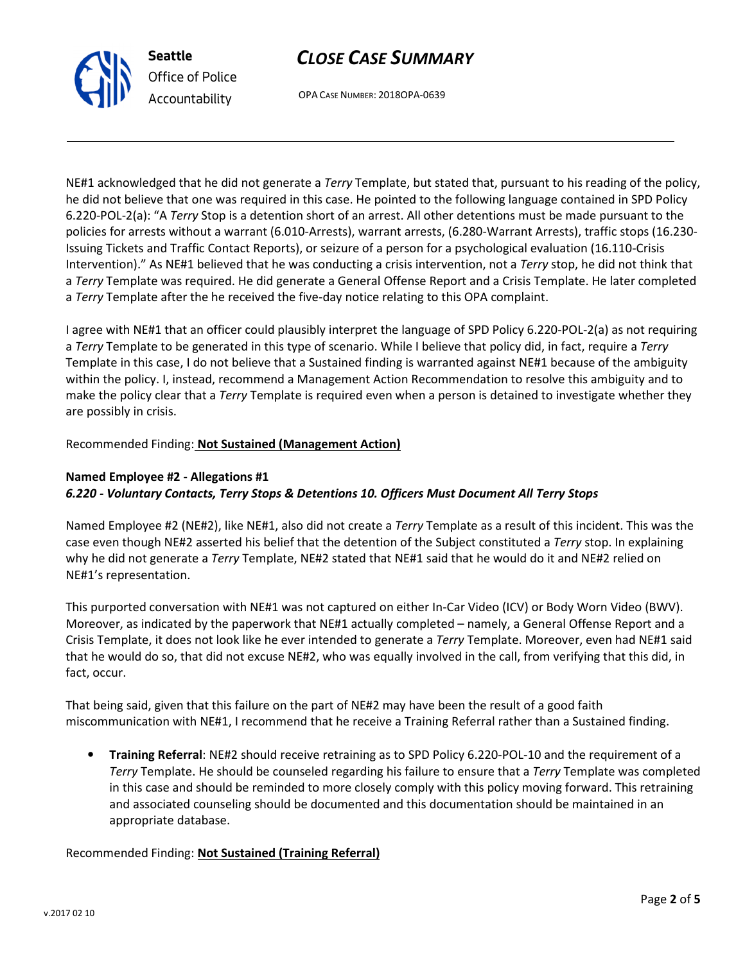

OPA CASE NUMBER: 2018OPA-0639

NE#1 acknowledged that he did not generate a Terry Template, but stated that, pursuant to his reading of the policy, he did not believe that one was required in this case. He pointed to the following language contained in SPD Policy 6.220-POL-2(a): "A Terry Stop is a detention short of an arrest. All other detentions must be made pursuant to the policies for arrests without a warrant (6.010-Arrests), warrant arrests, (6.280-Warrant Arrests), traffic stops (16.230- Issuing Tickets and Traffic Contact Reports), or seizure of a person for a psychological evaluation (16.110-Crisis Intervention)." As NE#1 believed that he was conducting a crisis intervention, not a Terry stop, he did not think that a Terry Template was required. He did generate a General Offense Report and a Crisis Template. He later completed a Terry Template after the he received the five-day notice relating to this OPA complaint.

I agree with NE#1 that an officer could plausibly interpret the language of SPD Policy 6.220-POL-2(a) as not requiring a Terry Template to be generated in this type of scenario. While I believe that policy did, in fact, require a Terry Template in this case, I do not believe that a Sustained finding is warranted against NE#1 because of the ambiguity within the policy. I, instead, recommend a Management Action Recommendation to resolve this ambiguity and to make the policy clear that a Terry Template is required even when a person is detained to investigate whether they are possibly in crisis.

### Recommended Finding: Not Sustained (Management Action)

Seattle

Office of Police Accountability

## Named Employee #2 - Allegations #1 6.220 - Voluntary Contacts, Terry Stops & Detentions 10. Officers Must Document All Terry Stops

Named Employee #2 (NE#2), like NE#1, also did not create a Terry Template as a result of this incident. This was the case even though NE#2 asserted his belief that the detention of the Subject constituted a Terry stop. In explaining why he did not generate a Terry Template, NE#2 stated that NE#1 said that he would do it and NE#2 relied on NE#1's representation.

This purported conversation with NE#1 was not captured on either In-Car Video (ICV) or Body Worn Video (BWV). Moreover, as indicated by the paperwork that NE#1 actually completed – namely, a General Offense Report and a Crisis Template, it does not look like he ever intended to generate a Terry Template. Moreover, even had NE#1 said that he would do so, that did not excuse NE#2, who was equally involved in the call, from verifying that this did, in fact, occur.

That being said, given that this failure on the part of NE#2 may have been the result of a good faith miscommunication with NE#1, I recommend that he receive a Training Referral rather than a Sustained finding.

• Training Referral: NE#2 should receive retraining as to SPD Policy 6.220-POL-10 and the requirement of a Terry Template. He should be counseled regarding his failure to ensure that a Terry Template was completed in this case and should be reminded to more closely comply with this policy moving forward. This retraining and associated counseling should be documented and this documentation should be maintained in an appropriate database.

#### Recommended Finding: Not Sustained (Training Referral)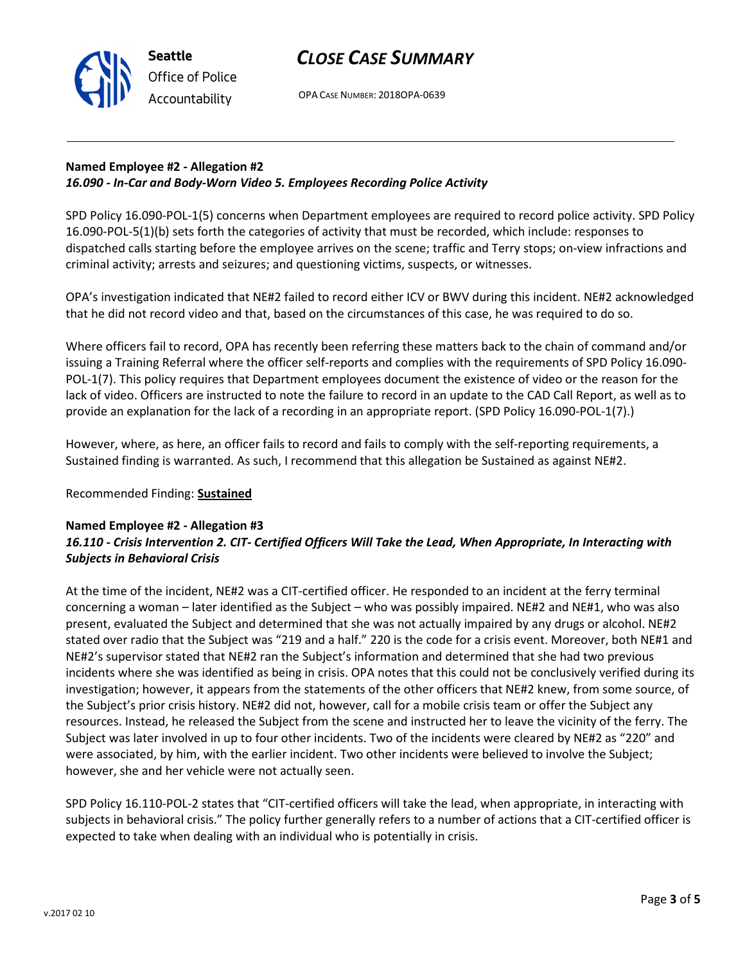

# CLOSE CASE SUMMARY

OPA CASE NUMBER: 2018OPA-0639

## Named Employee #2 - Allegation #2 16.090 - In-Car and Body-Worn Video 5. Employees Recording Police Activity

SPD Policy 16.090-POL-1(5) concerns when Department employees are required to record police activity. SPD Policy 16.090-POL-5(1)(b) sets forth the categories of activity that must be recorded, which include: responses to dispatched calls starting before the employee arrives on the scene; traffic and Terry stops; on-view infractions and criminal activity; arrests and seizures; and questioning victims, suspects, or witnesses.

OPA's investigation indicated that NE#2 failed to record either ICV or BWV during this incident. NE#2 acknowledged that he did not record video and that, based on the circumstances of this case, he was required to do so.

Where officers fail to record, OPA has recently been referring these matters back to the chain of command and/or issuing a Training Referral where the officer self-reports and complies with the requirements of SPD Policy 16.090- POL-1(7). This policy requires that Department employees document the existence of video or the reason for the lack of video. Officers are instructed to note the failure to record in an update to the CAD Call Report, as well as to provide an explanation for the lack of a recording in an appropriate report. (SPD Policy 16.090-POL-1(7).)

However, where, as here, an officer fails to record and fails to comply with the self-reporting requirements, a Sustained finding is warranted. As such, I recommend that this allegation be Sustained as against NE#2.

## Recommended Finding: **Sustained**

#### Named Employee #2 - Allegation #3

## 16.110 - Crisis Intervention 2. CIT- Certified Officers Will Take the Lead, When Appropriate, In Interacting with Subjects in Behavioral Crisis

At the time of the incident, NE#2 was a CIT-certified officer. He responded to an incident at the ferry terminal concerning a woman – later identified as the Subject – who was possibly impaired. NE#2 and NE#1, who was also present, evaluated the Subject and determined that she was not actually impaired by any drugs or alcohol. NE#2 stated over radio that the Subject was "219 and a half." 220 is the code for a crisis event. Moreover, both NE#1 and NE#2's supervisor stated that NE#2 ran the Subject's information and determined that she had two previous incidents where she was identified as being in crisis. OPA notes that this could not be conclusively verified during its investigation; however, it appears from the statements of the other officers that NE#2 knew, from some source, of the Subject's prior crisis history. NE#2 did not, however, call for a mobile crisis team or offer the Subject any resources. Instead, he released the Subject from the scene and instructed her to leave the vicinity of the ferry. The Subject was later involved in up to four other incidents. Two of the incidents were cleared by NE#2 as "220" and were associated, by him, with the earlier incident. Two other incidents were believed to involve the Subject; however, she and her vehicle were not actually seen.

SPD Policy 16.110-POL-2 states that "CIT-certified officers will take the lead, when appropriate, in interacting with subjects in behavioral crisis." The policy further generally refers to a number of actions that a CIT-certified officer is expected to take when dealing with an individual who is potentially in crisis.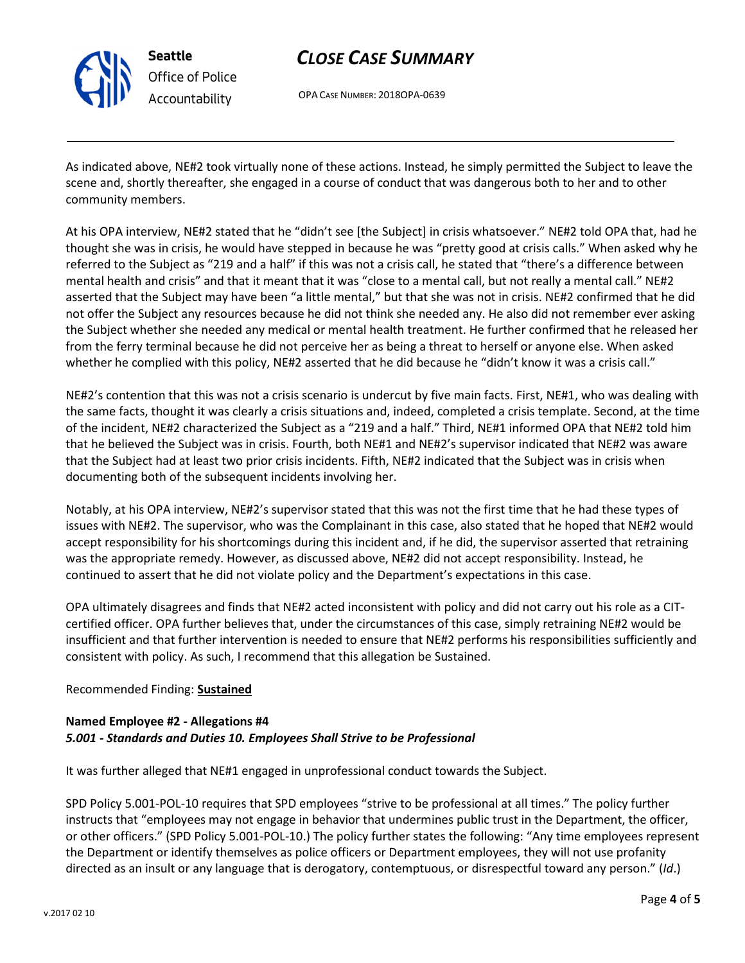

Seattle Office of Police Accountability

# CLOSE CASE SUMMARY

OPA CASE NUMBER: 2018OPA-0639

As indicated above, NE#2 took virtually none of these actions. Instead, he simply permitted the Subject to leave the scene and, shortly thereafter, she engaged in a course of conduct that was dangerous both to her and to other community members.

At his OPA interview, NE#2 stated that he "didn't see [the Subject] in crisis whatsoever." NE#2 told OPA that, had he thought she was in crisis, he would have stepped in because he was "pretty good at crisis calls." When asked why he referred to the Subject as "219 and a half" if this was not a crisis call, he stated that "there's a difference between mental health and crisis" and that it meant that it was "close to a mental call, but not really a mental call." NE#2 asserted that the Subject may have been "a little mental," but that she was not in crisis. NE#2 confirmed that he did not offer the Subject any resources because he did not think she needed any. He also did not remember ever asking the Subject whether she needed any medical or mental health treatment. He further confirmed that he released her from the ferry terminal because he did not perceive her as being a threat to herself or anyone else. When asked whether he complied with this policy, NE#2 asserted that he did because he "didn't know it was a crisis call."

NE#2's contention that this was not a crisis scenario is undercut by five main facts. First, NE#1, who was dealing with the same facts, thought it was clearly a crisis situations and, indeed, completed a crisis template. Second, at the time of the incident, NE#2 characterized the Subject as a "219 and a half." Third, NE#1 informed OPA that NE#2 told him that he believed the Subject was in crisis. Fourth, both NE#1 and NE#2's supervisor indicated that NE#2 was aware that the Subject had at least two prior crisis incidents. Fifth, NE#2 indicated that the Subject was in crisis when documenting both of the subsequent incidents involving her.

Notably, at his OPA interview, NE#2's supervisor stated that this was not the first time that he had these types of issues with NE#2. The supervisor, who was the Complainant in this case, also stated that he hoped that NE#2 would accept responsibility for his shortcomings during this incident and, if he did, the supervisor asserted that retraining was the appropriate remedy. However, as discussed above, NE#2 did not accept responsibility. Instead, he continued to assert that he did not violate policy and the Department's expectations in this case.

OPA ultimately disagrees and finds that NE#2 acted inconsistent with policy and did not carry out his role as a CITcertified officer. OPA further believes that, under the circumstances of this case, simply retraining NE#2 would be insufficient and that further intervention is needed to ensure that NE#2 performs his responsibilities sufficiently and consistent with policy. As such, I recommend that this allegation be Sustained.

## Recommended Finding: Sustained

## Named Employee #2 - Allegations #4 5.001 - Standards and Duties 10. Employees Shall Strive to be Professional

It was further alleged that NE#1 engaged in unprofessional conduct towards the Subject.

SPD Policy 5.001-POL-10 requires that SPD employees "strive to be professional at all times." The policy further instructs that "employees may not engage in behavior that undermines public trust in the Department, the officer, or other officers." (SPD Policy 5.001-POL-10.) The policy further states the following: "Any time employees represent the Department or identify themselves as police officers or Department employees, they will not use profanity directed as an insult or any language that is derogatory, contemptuous, or disrespectful toward any person." (Id.)